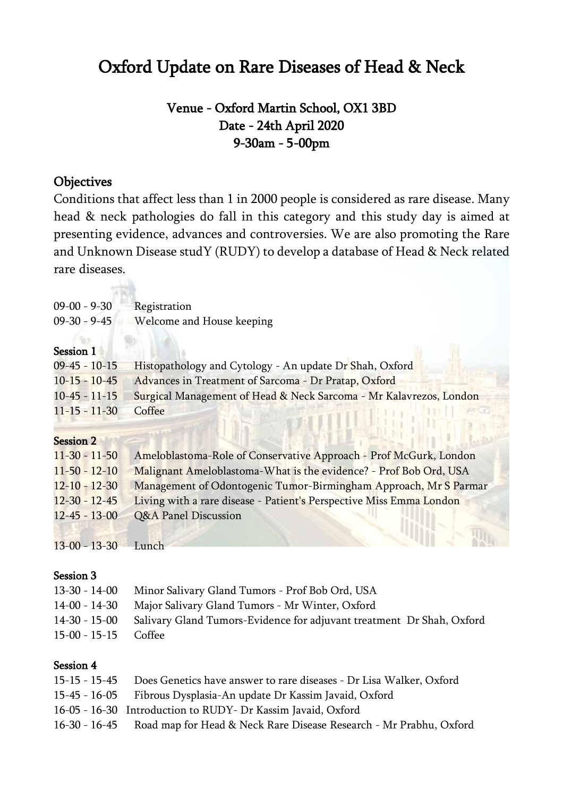# Oxford Update on Rare Diseases of Head & Neck

# Venue - Oxford Martin School, OX1 3BD Date - 24th April 2020 9-30am - 5-00pm

## **Objectives**

 $-111$ 

Conditions that affect less than 1 in 2000 people is considered as rare disease. Many head & neck pathologies do fall in this category and this study day is aimed at presenting evidence, advances and controversies. We are also promoting the Rare and Unknown Disease studY (RUDY) to develop a database of Head & Neck related rare diseases.

| $09 - 00 - 9 - 30$  | Registration                                                        |
|---------------------|---------------------------------------------------------------------|
| $09-30 - 9-45$      | Welcome and House keeping                                           |
| Session 1           |                                                                     |
| $09-45 - 10-15$     | Histopathology and Cytology - An update Dr Shah, Oxford             |
| $10 - 15 - 10 - 45$ | Advances in Treatment of Sarcoma - Dr Pratap, Oxford                |
| $10-45 - 11-15$     | Surgical Management of Head & Neck Sarcoma - Mr Kalavrezos, London  |
| $11 - 15 - 11 - 30$ | Coffee                                                              |
| <b>Session 2</b>    |                                                                     |
| $11 - 30 - 11 - 50$ | Ameloblastoma-Role of Conservative Approach - Prof McGurk, London   |
| $11 - 50 - 12 - 10$ | Malignant Ameloblastoma-What is the evidence? - Prof Bob Ord, USA   |
| $12 - 10 - 12 - 30$ | Management of Odontogenic Tumor-Birmingham Approach, Mr S Parmar    |
| $12 - 30 - 12 - 45$ | Living with a rare disease - Patient's Perspective Miss Emma London |
| $12 - 45 - 13 - 00$ | Q&A Panel Discussion                                                |

13-00 - 13-30 Lunch

#### Session 3

|                        | 13-30 - 14-00 Minor Salivary Gland Tumors - Prof Bob Ord, USA                       |
|------------------------|-------------------------------------------------------------------------------------|
|                        | 14-00 - 14-30 Major Salivary Gland Tumors - Mr Winter, Oxford                       |
|                        | 14-30 - 15-00 Salivary Gland Tumors-Evidence for adjuvant treatment Dr Shah, Oxford |
| $15-00 - 15-15$ Coffee |                                                                                     |
|                        |                                                                                     |

### Session 4

| 15-15 - 15-45 Does Genetics have answer to rare diseases - Dr Lisa Walker, Oxford |
|-----------------------------------------------------------------------------------|
| 15-45 - 16-05 Fibrous Dysplasia-An update Dr Kassim Javaid, Oxford                |
| 16-05 - 16-30 Introduction to RUDY- Dr Kassim Javaid, Oxford                      |
| 16-30 - 16-45 Road map for Head & Neck Rare Disease Research - Mr Prabhu, Oxford  |
|                                                                                   |